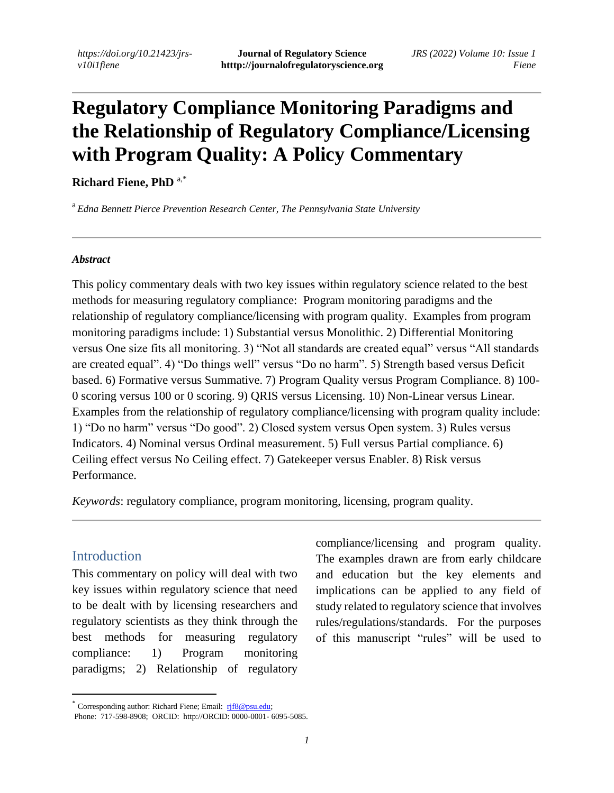# **Regulatory Compliance Monitoring Paradigms and the Relationship of Regulatory Compliance/Licensing with Program Quality: A Policy Commentary**

#### **Richard Fiene, PhD** a,\*

<sup>a</sup> *Edna Bennett Pierce Prevention Research Center, The Pennsylvania State University*

#### *Abstract*

This policy commentary deals with two key issues within regulatory science related to the best methods for measuring regulatory compliance: Program monitoring paradigms and the relationship of regulatory compliance/licensing with program quality. Examples from program monitoring paradigms include: 1) Substantial versus Monolithic. 2) Differential Monitoring versus One size fits all monitoring. 3) "Not all standards are created equal" versus "All standards are created equal". 4) "Do things well" versus "Do no harm". 5) Strength based versus Deficit based. 6) Formative versus Summative. 7) Program Quality versus Program Compliance. 8) 100- 0 scoring versus 100 or 0 scoring. 9) QRIS versus Licensing. 10) Non-Linear versus Linear. Examples from the relationship of regulatory compliance/licensing with program quality include: 1) "Do no harm" versus "Do good". 2) Closed system versus Open system. 3) Rules versus Indicators. 4) Nominal versus Ordinal measurement. 5) Full versus Partial compliance. 6) Ceiling effect versus No Ceiling effect. 7) Gatekeeper versus Enabler. 8) Risk versus Performance.

*Keywords*: regulatory compliance, program monitoring, licensing, program quality.

#### Introduction

This commentary on policy will deal with two key issues within regulatory science that need to be dealt with by licensing researchers and regulatory scientists as they think through the best methods for measuring regulatory compliance: 1) Program monitoring paradigms; 2) Relationship of regulatory

compliance/licensing and program quality. The examples drawn are from early childcare and education but the key elements and implications can be applied to any field of study related to regulatory science that involves rules/regulations/standards. For the purposes of this manuscript "rules" will be used to

<sup>\*</sup> Corresponding author: Richard Fiene; Email: [rjf8@psu.edu;](mailto:rjf8@psu.edu)

Phone: 717-598-8908; ORCID: http://ORCID: 0000-0001- 6095-5085.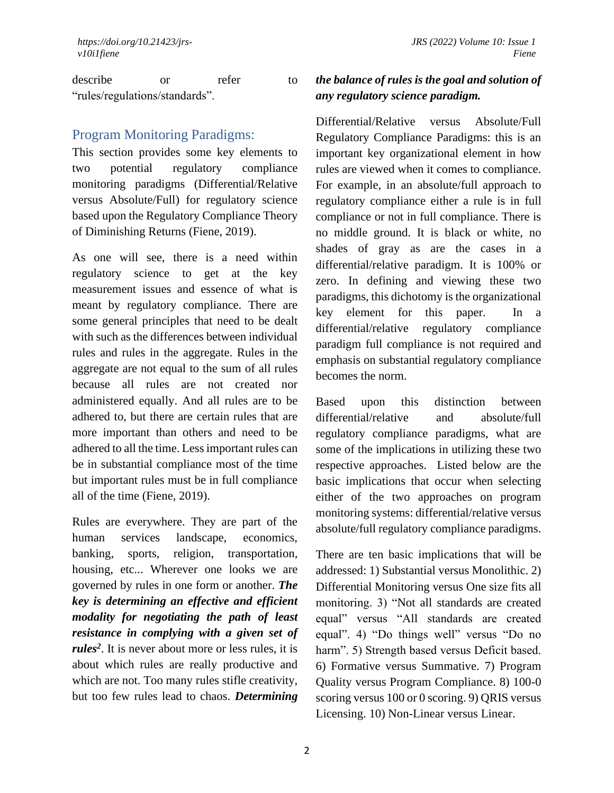describe or refer to "rules/regulations/standards".

#### Program Monitoring Paradigms:

This section provides some key elements to two potential regulatory compliance monitoring paradigms (Differential/Relative versus Absolute/Full) for regulatory science based upon the Regulatory Compliance Theory of Diminishing Returns (Fiene, 2019).

As one will see, there is a need within regulatory science to get at the key measurement issues and essence of what is meant by regulatory compliance. There are some general principles that need to be dealt with such as the differences between individual rules and rules in the aggregate. Rules in the aggregate are not equal to the sum of all rules because all rules are not created nor administered equally. And all rules are to be adhered to, but there are certain rules that are more important than others and need to be adhered to all the time. Less important rules can be in substantial compliance most of the time but important rules must be in full compliance all of the time (Fiene, 2019).

Rules are everywhere. They are part of the human services landscape, economics, banking, sports, religion, transportation, housing, etc... Wherever one looks we are governed by rules in one form or another. *The key is determining an effective and efficient modality for negotiating the path of least resistance in complying with a given set of rules<sup>2</sup>* . It is never about more or less rules, it is about which rules are really productive and which are not. Too many rules stifle creativity, but too few rules lead to chaos. *Determining* 

### *the balance of rules is the goal and solution of any regulatory science paradigm.*

Differential/Relative versus Absolute/Full Regulatory Compliance Paradigms: this is an important key organizational element in how rules are viewed when it comes to compliance. For example, in an absolute/full approach to regulatory compliance either a rule is in full compliance or not in full compliance. There is no middle ground. It is black or white, no shades of gray as are the cases in a differential/relative paradigm. It is 100% or zero. In defining and viewing these two paradigms, this dichotomy is the organizational key element for this paper. In a differential/relative regulatory compliance paradigm full compliance is not required and emphasis on substantial regulatory compliance becomes the norm.

Based upon this distinction between differential/relative and absolute/full regulatory compliance paradigms, what are some of the implications in utilizing these two respective approaches. Listed below are the basic implications that occur when selecting either of the two approaches on program monitoring systems: differential/relative versus absolute/full regulatory compliance paradigms.

There are ten basic implications that will be addressed: 1) Substantial versus Monolithic. 2) Differential Monitoring versus One size fits all monitoring. 3) "Not all standards are created equal" versus "All standards are created equal". 4) "Do things well" versus "Do no harm". 5) Strength based versus Deficit based. 6) Formative versus Summative. 7) Program Quality versus Program Compliance. 8) 100-0 scoring versus 100 or 0 scoring. 9) QRIS versus Licensing. 10) Non-Linear versus Linear.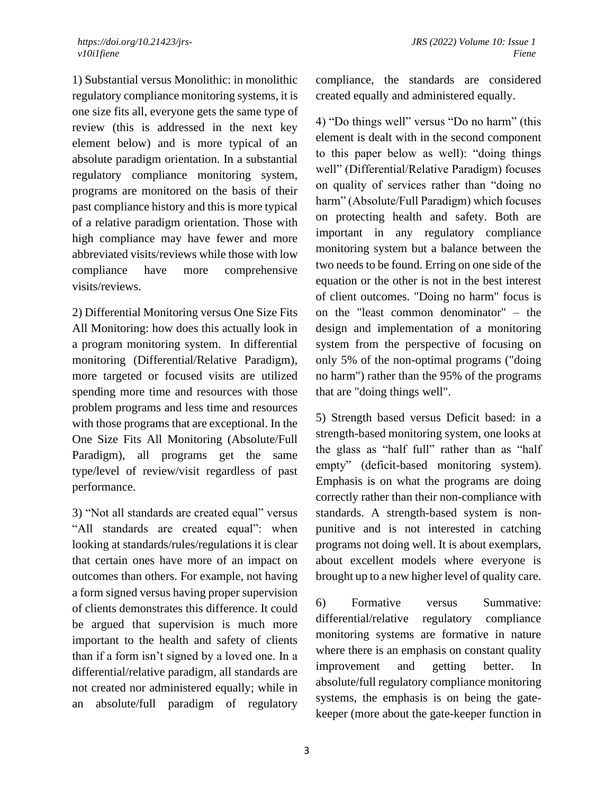1) Substantial versus Monolithic: in monolithic regulatory compliance monitoring systems, it is one size fits all, everyone gets the same type of review (this is addressed in the next key element below) and is more typical of an absolute paradigm orientation. In a substantial regulatory compliance monitoring system, programs are monitored on the basis of their past compliance history and this is more typical of a relative paradigm orientation. Those with high compliance may have fewer and more abbreviated visits/reviews while those with low compliance have more comprehensive visits/reviews.

2) Differential Monitoring versus One Size Fits All Monitoring: how does this actually look in a program monitoring system. In differential monitoring (Differential/Relative Paradigm), more targeted or focused visits are utilized spending more time and resources with those problem programs and less time and resources with those programs that are exceptional. In the One Size Fits All Monitoring (Absolute/Full Paradigm), all programs get the same type/level of review/visit regardless of past performance.

3) "Not all standards are created equal" versus "All standards are created equal": when looking at standards/rules/regulations it is clear that certain ones have more of an impact on outcomes than others. For example, not having a form signed versus having proper supervision of clients demonstrates this difference. It could be argued that supervision is much more important to the health and safety of clients than if a form isn't signed by a loved one. In a differential/relative paradigm, all standards are not created nor administered equally; while in an absolute/full paradigm of regulatory

compliance, the standards are considered created equally and administered equally.

4) "Do things well" versus "Do no harm" (this element is dealt with in the second component to this paper below as well): "doing things well" (Differential/Relative Paradigm) focuses on quality of services rather than "doing no harm" (Absolute/Full Paradigm) which focuses on protecting health and safety. Both are important in any regulatory compliance monitoring system but a balance between the two needs to be found. Erring on one side of the equation or the other is not in the best interest of client outcomes. "Doing no harm" focus is on the "least common denominator" – the design and implementation of a monitoring system from the perspective of focusing on only 5% of the non-optimal programs ("doing no harm") rather than the 95% of the programs that are "doing things well".

5) Strength based versus Deficit based: in a strength-based monitoring system, one looks at the glass as "half full" rather than as "half empty" (deficit-based monitoring system). Emphasis is on what the programs are doing correctly rather than their non-compliance with standards. A strength-based system is nonpunitive and is not interested in catching programs not doing well. It is about exemplars, about excellent models where everyone is brought up to a new higher level of quality care.

6) Formative versus Summative: differential/relative regulatory compliance monitoring systems are formative in nature where there is an emphasis on constant quality improvement and getting better. In absolute/full regulatory compliance monitoring systems, the emphasis is on being the gatekeeper (more about the gate-keeper function in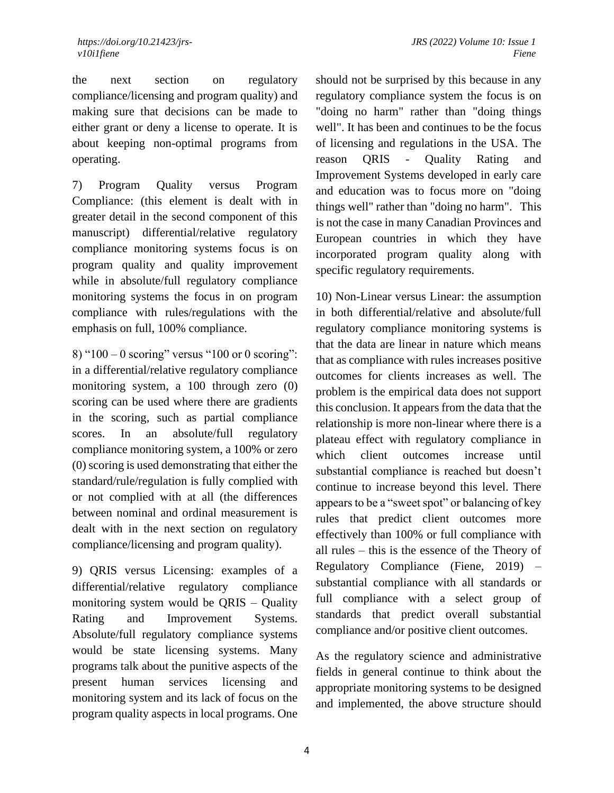the next section on regulatory compliance/licensing and program quality) and making sure that decisions can be made to either grant or deny a license to operate. It is about keeping non-optimal programs from operating.

7) Program Quality versus Program Compliance: (this element is dealt with in greater detail in the second component of this manuscript) differential/relative regulatory compliance monitoring systems focus is on program quality and quality improvement while in absolute/full regulatory compliance monitoring systems the focus in on program compliance with rules/regulations with the emphasis on full, 100% compliance.

8) "100 – 0 scoring" versus "100 or 0 scoring": in a differential/relative regulatory compliance monitoring system, a 100 through zero (0) scoring can be used where there are gradients in the scoring, such as partial compliance scores. In an absolute/full regulatory compliance monitoring system, a 100% or zero (0) scoring is used demonstrating that either the standard/rule/regulation is fully complied with or not complied with at all (the differences between nominal and ordinal measurement is dealt with in the next section on regulatory compliance/licensing and program quality).

9) QRIS versus Licensing: examples of a differential/relative regulatory compliance monitoring system would be QRIS – Quality Rating and Improvement Systems. Absolute/full regulatory compliance systems would be state licensing systems. Many programs talk about the punitive aspects of the present human services licensing and monitoring system and its lack of focus on the program quality aspects in local programs. One

should not be surprised by this because in any regulatory compliance system the focus is on "doing no harm" rather than "doing things well". It has been and continues to be the focus of licensing and regulations in the USA. The reason QRIS - Quality Rating and Improvement Systems developed in early care and education was to focus more on "doing things well" rather than "doing no harm". This is not the case in many Canadian Provinces and European countries in which they have incorporated program quality along with specific regulatory requirements.

10) Non-Linear versus Linear: the assumption in both differential/relative and absolute/full regulatory compliance monitoring systems is that the data are linear in nature which means that as compliance with rules increases positive outcomes for clients increases as well. The problem is the empirical data does not support this conclusion. It appears from the data that the relationship is more non-linear where there is a plateau effect with regulatory compliance in which client outcomes increase until substantial compliance is reached but doesn't continue to increase beyond this level. There appears to be a "sweet spot" or balancing of key rules that predict client outcomes more effectively than 100% or full compliance with all rules – this is the essence of the Theory of Regulatory Compliance (Fiene, 2019) – substantial compliance with all standards or full compliance with a select group of standards that predict overall substantial compliance and/or positive client outcomes.

As the regulatory science and administrative fields in general continue to think about the appropriate monitoring systems to be designed and implemented, the above structure should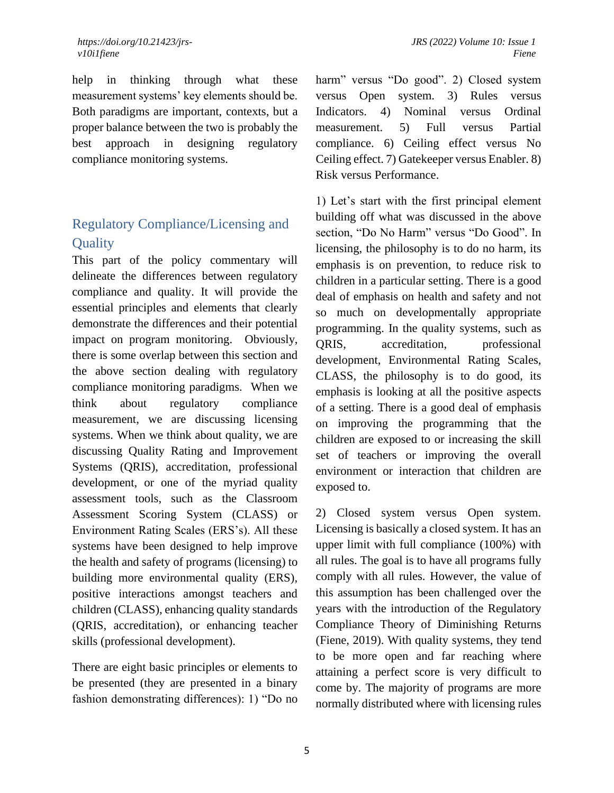help in thinking through what these measurement systems' key elements should be. Both paradigms are important, contexts, but a proper balance between the two is probably the best approach in designing regulatory compliance monitoring systems.

## Regulatory Compliance/Licensing and **Ouality**

This part of the policy commentary will delineate the differences between regulatory compliance and quality. It will provide the essential principles and elements that clearly demonstrate the differences and their potential impact on program monitoring. Obviously, there is some overlap between this section and the above section dealing with regulatory compliance monitoring paradigms. When we think about regulatory compliance measurement, we are discussing licensing systems. When we think about quality, we are discussing Quality Rating and Improvement Systems (QRIS), accreditation, professional development, or one of the myriad quality assessment tools, such as the Classroom Assessment Scoring System (CLASS) or Environment Rating Scales (ERS's). All these systems have been designed to help improve the health and safety of programs (licensing) to building more environmental quality (ERS), positive interactions amongst teachers and children (CLASS), enhancing quality standards (QRIS, accreditation), or enhancing teacher skills (professional development).

There are eight basic principles or elements to be presented (they are presented in a binary fashion demonstrating differences): 1) "Do no harm" versus "Do good". 2) Closed system versus Open system. 3) Rules versus Indicators. 4) Nominal versus Ordinal measurement. 5) Full versus Partial compliance. 6) Ceiling effect versus No Ceiling effect. 7) Gatekeeper versus Enabler. 8) Risk versus Performance.

1) Let's start with the first principal element building off what was discussed in the above section, "Do No Harm" versus "Do Good". In licensing, the philosophy is to do no harm, its emphasis is on prevention, to reduce risk to children in a particular setting. There is a good deal of emphasis on health and safety and not so much on developmentally appropriate programming. In the quality systems, such as QRIS, accreditation, professional development, Environmental Rating Scales, CLASS, the philosophy is to do good, its emphasis is looking at all the positive aspects of a setting. There is a good deal of emphasis on improving the programming that the children are exposed to or increasing the skill set of teachers or improving the overall environment or interaction that children are exposed to.

2) Closed system versus Open system. Licensing is basically a closed system. It has an upper limit with full compliance (100%) with all rules. The goal is to have all programs fully comply with all rules. However, the value of this assumption has been challenged over the years with the introduction of the Regulatory Compliance Theory of Diminishing Returns (Fiene, 2019). With quality systems, they tend to be more open and far reaching where attaining a perfect score is very difficult to come by. The majority of programs are more normally distributed where with licensing rules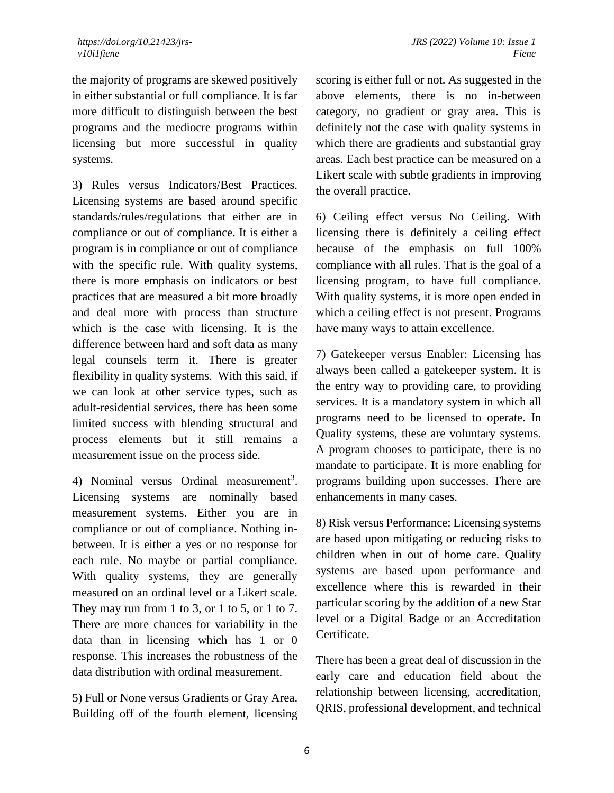the majority of programs are skewed positively in either substantial or full compliance. It is far more difficult to distinguish between the best programs and the mediocre programs within licensing but more successful in quality systems.

3) Rules versus Indicators/Best Practices. Licensing systems are based around specific standards/rules/regulations that either are in compliance or out of compliance. It is either a program is in compliance or out of compliance with the specific rule. With quality systems, there is more emphasis on indicators or best practices that are measured a bit more broadly and deal more with process than structure which is the case with licensing. It is the difference between hard and soft data as many legal counsels term it. There is greater flexibility in quality systems. With this said, if we can look at other service types, such as adult-residential services, there has been some limited success with blending structural and process elements but it still remains a measurement issue on the process side.

4) Nominal versus Ordinal measurement<sup>3</sup>. Licensing systems are nominally based measurement systems. Either you are in compliance or out of compliance. Nothing inbetween. It is either a yes or no response for each rule. No maybe or partial compliance. With quality systems, they are generally measured on an ordinal level or a Likert scale. They may run from 1 to 3, or 1 to 5, or 1 to 7. There are more chances for variability in the data than in licensing which has 1 or 0 response. This increases the robustness of the data distribution with ordinal measurement.

5) Full or None versus Gradients or Gray Area. Building off of the fourth element, licensing scoring is either full or not. As suggested in the above elements, there is no in-between category, no gradient or gray area. This is definitely not the case with quality systems in which there are gradients and substantial gray areas. Each best practice can be measured on a Likert scale with subtle gradients in improving the overall practice.

6) Ceiling effect versus No Ceiling. With licensing there is definitely a ceiling effect because of the emphasis on full 100% compliance with all rules. That is the goal of a licensing program, to have full compliance. With quality systems, it is more open ended in which a ceiling effect is not present. Programs have many ways to attain excellence.

7) Gatekeeper versus Enabler: Licensing has always been called a gatekeeper system. It is the entry way to providing care, to providing services. It is a mandatory system in which all programs need to be licensed to operate. In Quality systems, these are voluntary systems. A program chooses to participate, there is no mandate to participate. It is more enabling for programs building upon successes. There are enhancements in many cases.

8) Risk versus Performance: Licensing systems are based upon mitigating or reducing risks to children when in out of home care. Quality systems are based upon performance and excellence where this is rewarded in their particular scoring by the addition of a new Star level or a Digital Badge or an Accreditation Certificate.

There has been a great deal of discussion in the early care and education field about the relationship between licensing, accreditation, QRIS, professional development, and technical